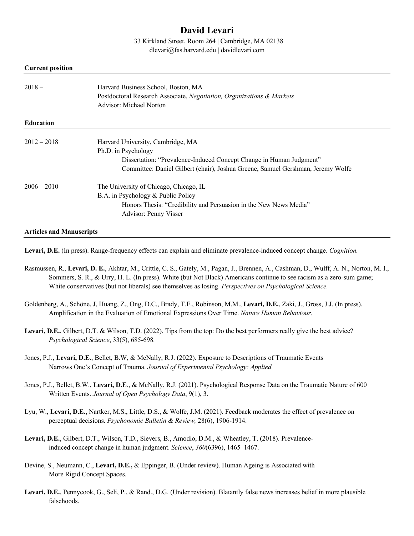# **David Levari**

33 Kirkland Street, Room 264 | Cambridge, MA 02138

dlevari@fas.harvard.edu | davidlevari.com

#### **Current position**

| $2018-$          | Harvard Business School, Boston, MA<br>Postdoctoral Research Associate, Negotiation, Organizations & Markets<br>Advisor: Michael Norton |
|------------------|-----------------------------------------------------------------------------------------------------------------------------------------|
| <b>Education</b> |                                                                                                                                         |
| $2012 - 2018$    | Harvard University, Cambridge, MA                                                                                                       |
|                  | Ph.D. in Psychology                                                                                                                     |
|                  | Dissertation: "Prevalence-Induced Concept Change in Human Judgment"                                                                     |
|                  | Committee: Daniel Gilbert (chair), Joshua Greene, Samuel Gershman, Jeremy Wolfe                                                         |
| $2006 - 2010$    | The University of Chicago, Chicago, IL                                                                                                  |
|                  | B.A. in Psychology & Public Policy                                                                                                      |
|                  | Honors Thesis: "Credibility and Persuasion in the New News Media"                                                                       |
|                  | Advisor: Penny Visser                                                                                                                   |
|                  |                                                                                                                                         |

#### **Articles and Manuscripts**

**Levari, D.E.** (In press). Range-frequency effects can explain and eliminate prevalence-induced concept change. *Cognition.*

- Rasmussen, R., **Levari, D. E.**, Akhtar, M., Crittle, C. S., Gately, M., Pagan, J., Brennen, A., Cashman, D., Wulff, A. N., Norton, M. I., Sommers, S. R., & Urry, H. L. (In press). White (but Not Black) Americans continue to see racism as a zero-sum game; White conservatives (but not liberals) see themselves as losing. *Perspectives on Psychological Science.*
- Goldenberg, A., Schöne, J, Huang, Z., Ong, D.C., Brady, T.F., Robinson, M.M., **Levari, D.E.**, Zaki, J., Gross, J.J. (In press). Amplification in the Evaluation of Emotional Expressions Over Time. *Nature Human Behaviour.*
- **Levari, D.E.**, Gilbert, D.T. & Wilson, T.D. (2022). Tips from the top: Do the best performers really give the best advice? *Psychological Science*, 33(5), 685-698*.*
- Jones, P.J., **Levari, D.E.**, Bellet, B.W, & McNally, R.J. (2022). Exposure to Descriptions of Traumatic Events Narrows One's Concept of Trauma. *Journal of Experimental Psychology: Applied.*
- Jones, P.J., Bellet, B.W., **Levari, D.E**., & McNally, R.J. (2021). Psychological Response Data on the Traumatic Nature of 600 Written Events. *Journal of Open Psychology Data*, 9(1), 3.
- Lyu, W., **Levari, D.E.,** Nartker, M.S., Little, D.S., & Wolfe, J.M. (2021). Feedback moderates the effect of prevalence on perceptual decisions. *Psychonomic Bulletin & Review,* 28(6), 1906-1914.
- **Levari, D.E.**, Gilbert, D.T., Wilson, T.D., Sievers, B., Amodio, D.M., & Wheatley, T. (2018). Prevalenceinduced concept change in human judgment. *Science*, *360*(6396), 1465–1467.
- Devine, S., Neumann, C., **Levari, D.E.,** & Eppinger, B. (Under review). Human Ageing is Associated with More Rigid Concept Spaces.
- Levari, D.E., Pennycook, G., Seli, P., & Rand., D.G. (Under revision). Blatantly false news increases belief in more plausible falsehoods.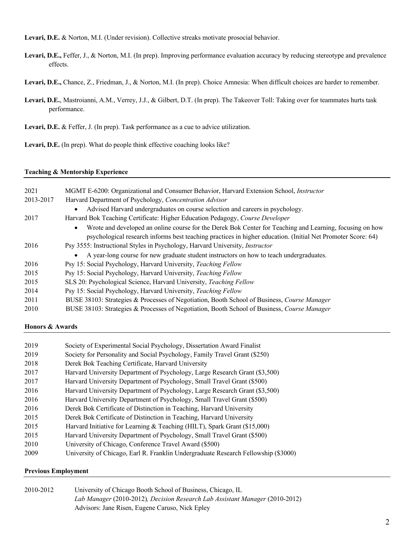**Levari, D.E.** & Norton, M.I. (Under revision). Collective streaks motivate prosocial behavior.

- **Levari, D.E.,** Feffer, J., & Norton, M.I. (In prep). Improving performance evaluation accuracy by reducing stereotype and prevalence effects.
- **Levari, D.E.,** Chance, Z., Friedman, J., & Norton, M.I. (In prep). Choice Amnesia: When difficult choices are harder to remember.
- **Levari, D.E.**, Mastroianni, A.M., Verrey, J.J., & Gilbert, D.T. (In prep). The Takeover Toll: Taking over for teammates hurts task performance.

**Levari, D.E.** & Feffer, J. (In prep). Task performance as a cue to advice utilization.

**Levari, D.E.** (In prep). What do people think effective coaching looks like?

### **Teaching & Mentorship Experience**

| 2021      | MGMT E-6200: Organizational and Consumer Behavior, Harvard Extension School, Instructor                                                                                                                                               |  |
|-----------|---------------------------------------------------------------------------------------------------------------------------------------------------------------------------------------------------------------------------------------|--|
| 2013-2017 | Harvard Department of Psychology, Concentration Advisor                                                                                                                                                                               |  |
|           | Advised Harvard undergraduates on course selection and careers in psychology.<br>$\bullet$                                                                                                                                            |  |
| 2017      | Harvard Bok Teaching Certificate: Higher Education Pedagogy, Course Developer                                                                                                                                                         |  |
|           | Wrote and developed an online course for the Derek Bok Center for Teaching and Learning, focusing on how<br>$\bullet$<br>psychological research informs best teaching practices in higher education. (Initial Net Promoter Score: 64) |  |
| 2016      | Psy 3555: Instructional Styles in Psychology, Harvard University, Instructor                                                                                                                                                          |  |
|           | A year-long course for new graduate student instructors on how to teach undergraduates.                                                                                                                                               |  |
| 2016      | Psy 15: Social Psychology, Harvard University, Teaching Fellow                                                                                                                                                                        |  |
| 2015      | Psy 15: Social Psychology, Harvard University, Teaching Fellow                                                                                                                                                                        |  |
| 2015      | SLS 20: Psychological Science, Harvard University, Teaching Fellow                                                                                                                                                                    |  |
| 2014      | Psy 15: Social Psychology, Harvard University, Teaching Fellow                                                                                                                                                                        |  |
| 2011      | BUSE 38103: Strategies & Processes of Negotiation, Booth School of Business, Course Manager                                                                                                                                           |  |
| 2010      | BUSE 38103: Strategies & Processes of Negotiation, Booth School of Business, Course Manager                                                                                                                                           |  |

# **Honors & Awards**

| 2019                 | Society of Experimental Social Psychology, Dissertation Award Finalist      |
|----------------------|-----------------------------------------------------------------------------|
| 2019                 | Society for Personality and Social Psychology, Family Travel Grant (\$250)  |
| 2018                 | Derek Bok Teaching Certificate, Harvard University                          |
| 2017                 | Harvard University Department of Psychology, Large Research Grant (\$3,500) |
| 2017                 | Harvard University Department of Psychology, Small Travel Grant (\$500)     |
| 2016                 | Harvard University Department of Psychology, Large Research Grant (\$3,500) |
| 2016                 | Harvard University Department of Psychology, Small Travel Grant (\$500)     |
| 2016                 | Derek Bok Certificate of Distinction in Teaching, Harvard University        |
| 2015                 | Derek Bok Certificate of Distinction in Teaching, Harvard University        |
| 2015                 | Harvard Initiative for Learning & Teaching (HILT), Spark Grant (\$15,000)   |
| 2015                 | Harvard University Department of Psychology, Small Travel Grant (\$500)     |
| 2010                 | University of Chicago, Conference Travel Award (\$500)                      |
| $\sim$ $\sim$ $\sim$ |                                                                             |

2009 University of Chicago, Earl R. Franklin Undergraduate Research Fellowship (\$3000)

# **Previous Employment**

| 2010-2012 | University of Chicago Booth School of Business, Chicago, IL                  |
|-----------|------------------------------------------------------------------------------|
|           | Lab Manager (2010-2012), Decision Research Lab Assistant Manager (2010-2012) |
|           | Advisors: Jane Risen, Eugene Caruso, Nick Epley                              |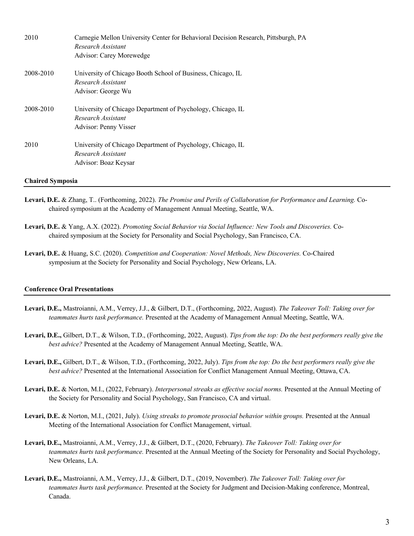| 2010      | Carnegie Mellon University Center for Behavioral Decision Research, Pittsburgh, PA<br>Research Assistant<br>Advisor: Carey Morewedge |
|-----------|--------------------------------------------------------------------------------------------------------------------------------------|
| 2008-2010 | University of Chicago Booth School of Business, Chicago, IL<br>Research Assistant<br>Advisor: George Wu                              |
| 2008-2010 | University of Chicago Department of Psychology, Chicago, IL<br>Research Assistant<br>Advisor: Penny Visser                           |
| 2010      | University of Chicago Department of Psychology, Chicago, IL<br>Research Assistant<br>Advisor: Boaz Keysar                            |

#### **Chaired Symposia**

- **Levari, D.E.** & Zhang, T.. (Forthcoming, 2022). *The Promise and Perils of Collaboration for Performance and Learning.* Cochaired symposium at the Academy of Management Annual Meeting, Seattle, WA.
- **Levari, D.E.** & Yang, A.X. (2022). *Promoting Social Behavior via Social Influence: New Tools and Discoveries.* Cochaired symposium at the Society for Personality and Social Psychology, San Francisco, CA.
- **Levari, D.E.** & Huang, S.C. (2020). *Competition and Cooperation: Novel Methods, New Discoveries.* Co-Chaired symposium at the Society for Personality and Social Psychology, New Orleans, LA.

#### **Conference Oral Presentations**

- **Levari, D.E.,** Mastroianni, A.M., Verrey, J.J., & Gilbert, D.T., (Forthcoming, 2022, August). *The Takeover Toll: Taking over for teammates hurts task performance.* Presented at the Academy of Management Annual Meeting, Seattle, WA.
- **Levari, D.E.,** Gilbert, D.T., & Wilson, T.D., (Forthcoming, 2022, August). *Tips from the top: Do the best performers really give the best advice?* Presented at the Academy of Management Annual Meeting, Seattle, WA.
- **Levari, D.E.,** Gilbert, D.T., & Wilson, T.D., (Forthcoming, 2022, July). *Tips from the top: Do the best performers really give the best advice?* Presented at the International Association for Conflict Management Annual Meeting, Ottawa, CA.
- **Levari, D.E.** & Norton, M.I., (2022, February). *Interpersonal streaks as effective social norms.* Presented at the Annual Meeting of the Society for Personality and Social Psychology, San Francisco, CA and virtual.
- **Levari, D.E.** & Norton, M.I., (2021, July). *Using streaks to promote prosocial behavior within groups.* Presented at the Annual Meeting of the International Association for Conflict Management, virtual.
- **Levari, D.E.,** Mastroianni, A.M., Verrey, J.J., & Gilbert, D.T., (2020, February). *The Takeover Toll: Taking over for teammates hurts task performance.* Presented at the Annual Meeting of the Society for Personality and Social Psychology, New Orleans, LA.
- **Levari, D.E.,** Mastroianni, A.M., Verrey, J.J., & Gilbert, D.T., (2019, November). *The Takeover Toll: Taking over for teammates hurts task performance.* Presented at the Society for Judgment and Decision-Making conference, Montreal, Canada.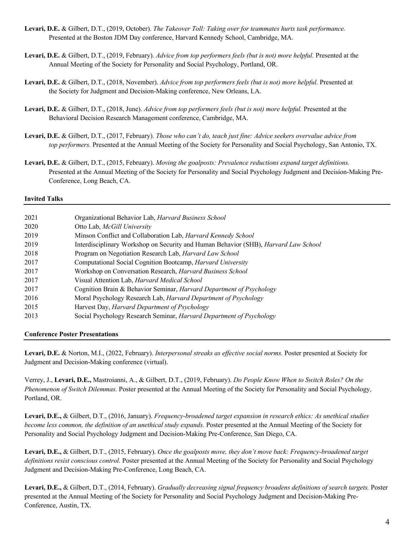- **Levari, D.E.** & Gilbert, D.T., (2019, October). *The Takeover Toll: Taking over for teammates hurts task performance.* Presented at the Boston JDM Day conference, Harvard Kennedy School, Cambridge, MA.
- **Levari, D.E.** & Gilbert, D.T., (2019, February). *Advice from top performers feels (but is not) more helpful.* Presented at the Annual Meeting of the Society for Personality and Social Psychology, Portland, OR.
- **Levari, D.E.** & Gilbert, D.T., (2018, November). *Advice from top performers feels (but is not) more helpful.* Presented at the Society for Judgment and Decision-Making conference, New Orleans, LA.
- **Levari, D.E.** & Gilbert, D.T., (2018, June). *Advice from top performers feels (but is not) more helpful.* Presented at the Behavioral Decision Research Management conference, Cambridge, MA.
- **Levari, D.E.** & Gilbert, D.T., (2017, February). *Those who can't do, teach just fine: Advice seekers overvalue advice from top performers.* Presented at the Annual Meeting of the Society for Personality and Social Psychology, San Antonio, TX.
- **Levari, D.E.** & Gilbert, D.T., (2015, February). *Moving the goalposts: Prevalence reductions expand target definitions.* Presented at the Annual Meeting of the Society for Personality and Social Psychology Judgment and Decision-Making Pre-Conference, Long Beach, CA.

#### **Invited Talks**

| 2021 | Organizational Behavior Lab, Harvard Business School                                       |
|------|--------------------------------------------------------------------------------------------|
| 2020 | Otto Lab, McGill University                                                                |
| 2019 | Minson Conflict and Collaboration Lab, Harvard Kennedy School                              |
| 2019 | Interdisciplinary Workshop on Security and Human Behavior (SHB), <i>Harvard Law School</i> |
| 2018 | Program on Negotiation Research Lab, Harvard Law School                                    |
| 2017 | Computational Social Cognition Bootcamp, Harvard University                                |
| 2017 | Workshop on Conversation Research, Harvard Business School                                 |
| 2017 | Visual Attention Lab, Harvard Medical School                                               |
| 2017 | Cognition Brain & Behavior Seminar, Harvard Department of Psychology                       |
| 2016 | Moral Psychology Research Lab, Harvard Department of Psychology                            |
| 2015 | Harvest Day, Harvard Department of Psychology                                              |
| 2013 | Social Psychology Research Seminar, Harvard Department of Psychology                       |
|      |                                                                                            |

# **Conference Poster Presentations**

**Levari, D.E.** & Norton, M.I., (2022, February). *Interpersonal streaks as effective social norms.* Poster presented at Society for Judgment and Decision-Making conference (virtual).

Verrey, J., **Levari, D.E.,** Mastroianni, A., & Gilbert, D.T., (2019, February). *Do People Know When to Switch Roles? On the Phenomenon of Switch Dilemmas.* Poster presented at the Annual Meeting of the Society for Personality and Social Psychology, Portland, OR.

**Levari, D.E.,** & Gilbert, D.T., (2016, January). *Frequency-broadened target expansion in research ethics: As unethical studies become less common, the definition of an unethical study expands.* Poster presented at the Annual Meeting of the Society for Personality and Social Psychology Judgment and Decision-Making Pre-Conference, San Diego, CA.

**Levari, D.E.,** & Gilbert, D.T., (2015, February). *Once the goalposts move, they don't move back: Frequency-broadened target definitions resist conscious control.* Poster presented at the Annual Meeting of the Society for Personality and Social Psychology Judgment and Decision-Making Pre-Conference, Long Beach, CA.

**Levari, D.E.,** & Gilbert, D.T., (2014, February). *Gradually decreasing signal frequency broadens definitions of search targets.* Poster presented at the Annual Meeting of the Society for Personality and Social Psychology Judgment and Decision-Making Pre-Conference, Austin, TX.